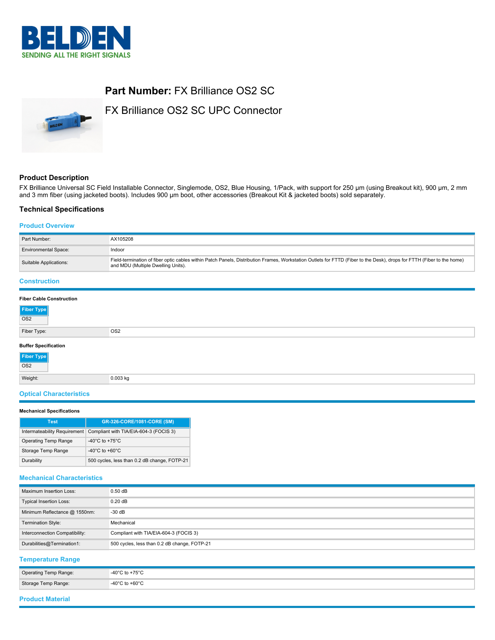

# **Part Number:** FX Brilliance OS2 SC

FX Brilliance OS2 SC UPC Connector

## **Product Description**

FX Brilliance Universal SC Field Installable Connector, Singlemode, OS2, Blue Housing, 1/Pack, with support for 250 µm (using Breakout kit), 900 µm, 2 mm and 3 mm fiber (using jacketed boots). Includes 900 µm boot, other accessories (Breakout Kit & jacketed boots) sold separately.

#### **Technical Specifications**

# **Product Overview**

| Part Number:                    | AX105208                                                                                                                                                                                                     |
|---------------------------------|--------------------------------------------------------------------------------------------------------------------------------------------------------------------------------------------------------------|
| <b>Environmental Space:</b>     | Indoor                                                                                                                                                                                                       |
| Suitable Applications:          | Field-termination of fiber optic cables within Patch Panels, Distribution Frames, Workstation Outlets for FTTD (Fiber to the Desk), drops for FTTH (Fiber to the home)<br>and MDU (Multiple Dwelling Units). |
| <b>Construction</b>             |                                                                                                                                                                                                              |
| <b>Fiber Cable Construction</b> |                                                                                                                                                                                                              |

| Fiber Type<br>OS2                                |                 |
|--------------------------------------------------|-----------------|
|                                                  |                 |
| Fiber Type:                                      | OS <sub>2</sub> |
|                                                  |                 |
| <b>Buffer Specification</b><br>Fiber Type<br>OS2 |                 |
|                                                  |                 |
| Weight:                                          | $0.003$ kg      |

# **Optical Characteristics**

#### **Mechanical Specifications**

| <b>Test</b>          | GR-326-CORE/1081-CORE (SM)                                          |
|----------------------|---------------------------------------------------------------------|
|                      | Intermateability Requirement Compliant with TIA/EIA-604-3 (FOCIS 3) |
| Operating Temp Range | -40 $^{\circ}$ C to +75 $^{\circ}$ C                                |
| Storage Temp Range   | $-40^{\circ}$ C to $+60^{\circ}$ C                                  |
| Durability           | 500 cycles, less than 0.2 dB change, FOTP-21                        |

#### **Mechanical Characteristics**

| Maximum Insertion Loss:        | $0.50$ dB                                    |
|--------------------------------|----------------------------------------------|
| <b>Typical Insertion Loss:</b> | 0.20dB                                       |
| Minimum Reflectance @ 1550nm:  | $-30$ dB                                     |
| <b>Termination Style:</b>      | Mechanical                                   |
| Interconnection Compatibility: | Compliant with TIA/EIA-604-3 (FOCIS 3)       |
| Durabilities@Termination1:     | 500 cycles, less than 0.2 dB change, FOTP-21 |

# **Temperature Range**

| Operating Temp Range: | -40 $^{\circ}$ C to +75 $^{\circ}$ C |
|-----------------------|--------------------------------------|
| Storage Temp Range:   | $-40^{\circ}$ C to $+60^{\circ}$ C   |

### **Product Material**